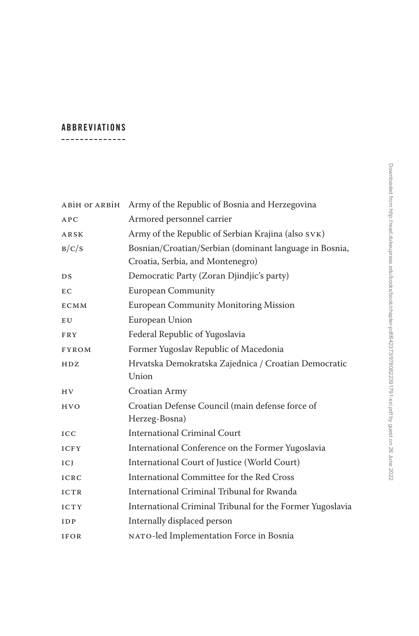## **Abbreviations** --------------

ABiH OT ARBIH Army of the Republic of Bosnia and Herzegovina APC Armored personnel carrier ARSK Army of the Republic of Serbian Krajina (also SVK) B/C/S Bosnian/Croatian/Serbian (dominant language in Bosnia, Croatia, Serbia, and Montenegro) DS Democratic Party (Zoran Djindjic's party) EC European Community ECMM European Community Monitoring Mission EU European Union FRY Federal Republic of Yugoslavia FYROM Former Yugoslav Republic of Macedonia HDZ Hrvatska Demokratska Zajednica / Croatian Democratic Union HV Croatian Army HVO Croatian Defense Council (main defense force of Herzeg-Bosna) ICC International Criminal Court ICFY International Conference on the Former Yugoslavia ICJ International Court of Justice (World Court) ICRC International Committee for the Red Cross ICTR International Criminal Tribunal for Rwanda ICTY International Criminal Tribunal for the Former Yugoslavia IDP Internally displaced person IFOR NATO-led Implementation Force in Bosnia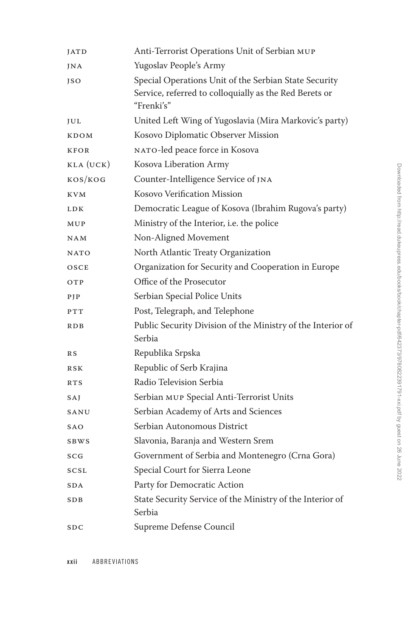| <b>JATD</b> | Anti-Terrorist Operations Unit of Serbian MUP                                                                                 |
|-------------|-------------------------------------------------------------------------------------------------------------------------------|
| JNA         | Yugoslav People's Army                                                                                                        |
| JSO         | Special Operations Unit of the Serbian State Security<br>Service, referred to colloquially as the Red Berets or<br>"Frenki's" |
| JUL         | United Left Wing of Yugoslavia (Mira Markovic's party)                                                                        |
| KDOM        | Kosovo Diplomatic Observer Mission                                                                                            |
| <b>KFOR</b> | NATO-led peace force in Kosova                                                                                                |
| KLA (UCK)   | Kosova Liberation Army                                                                                                        |
| KOS/KOG     | Counter-Intelligence Service of JNA                                                                                           |
| <b>KVM</b>  | Kosovo Verification Mission                                                                                                   |
| <b>LDK</b>  | Democratic League of Kosova (Ibrahim Rugova's party)                                                                          |
| MUP         | Ministry of the Interior, i.e. the police                                                                                     |
| <b>NAM</b>  | Non-Aligned Movement                                                                                                          |
| <b>NATO</b> | North Atlantic Treaty Organization                                                                                            |
| OSCE        | Organization for Security and Cooperation in Europe                                                                           |
| OTP         | Office of the Prosecutor                                                                                                      |
| PIP         | Serbian Special Police Units                                                                                                  |
| PTT         | Post, Telegraph, and Telephone                                                                                                |
| <b>RDB</b>  | Public Security Division of the Ministry of the Interior of<br>Serbia                                                         |
| R S         | Republika Srpska                                                                                                              |
| <b>RSK</b>  | Republic of Serb Krajina                                                                                                      |
| <b>RTS</b>  | Radio Television Serbia                                                                                                       |
| SAJ         | Serbian MUP Special Anti-Terrorist Units                                                                                      |
| SANU        | Serbian Academy of Arts and Sciences                                                                                          |
| SAO         | Serbian Autonomous District                                                                                                   |
| <b>SBWS</b> | Slavonia, Baranja and Western Srem                                                                                            |
| SCG         | Government of Serbia and Montenegro (Crna Gora)                                                                               |
| SCSL        | Special Court for Sierra Leone                                                                                                |
| SDA         | Party for Democratic Action                                                                                                   |
| SDB         | State Security Service of the Ministry of the Interior of<br>Serbia                                                           |
| SDC         | Supreme Defense Council                                                                                                       |

**xxii** Abbreviations